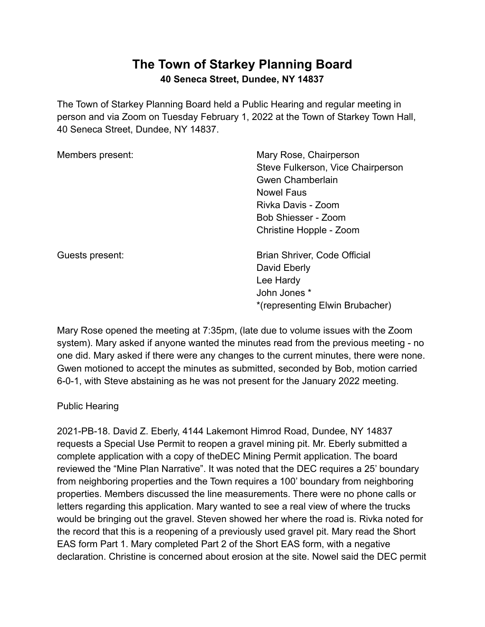## **The Town of Starkey Planning Board 40 Seneca Street, Dundee, NY 14837**

The Town of Starkey Planning Board held a Public Hearing and regular meeting in person and via Zoom on Tuesday February 1, 2022 at the Town of Starkey Town Hall, 40 Seneca Street, Dundee, NY 14837.

Members present: Mary Rose, Chairperson Steve Fulkerson, Vice Chairperson Gwen Chamberlain Nowel Faus Rivka Davis - Zoom Bob Shiesser - Zoom Christine Hopple - Zoom

Guests present: Guests present: Brian Shriver, Code Official David Eberly Lee Hardy John Jones \* \*(representing Elwin Brubacher)

Mary Rose opened the meeting at 7:35pm, (late due to volume issues with the Zoom system). Mary asked if anyone wanted the minutes read from the previous meeting - no one did. Mary asked if there were any changes to the current minutes, there were none. Gwen motioned to accept the minutes as submitted, seconded by Bob, motion carried 6-0-1, with Steve abstaining as he was not present for the January 2022 meeting.

Public Hearing

2021-PB-18. David Z. Eberly, 4144 Lakemont Himrod Road, Dundee, NY 14837 requests a Special Use Permit to reopen a gravel mining pit. Mr. Eberly submitted a complete application with a copy of theDEC Mining Permit application. The board reviewed the "Mine Plan Narrative". It was noted that the DEC requires a 25' boundary from neighboring properties and the Town requires a 100' boundary from neighboring properties. Members discussed the line measurements. There were no phone calls or letters regarding this application. Mary wanted to see a real view of where the trucks would be bringing out the gravel. Steven showed her where the road is. Rivka noted for the record that this is a reopening of a previously used gravel pit. Mary read the Short EAS form Part 1. Mary completed Part 2 of the Short EAS form, with a negative declaration. Christine is concerned about erosion at the site. Nowel said the DEC permit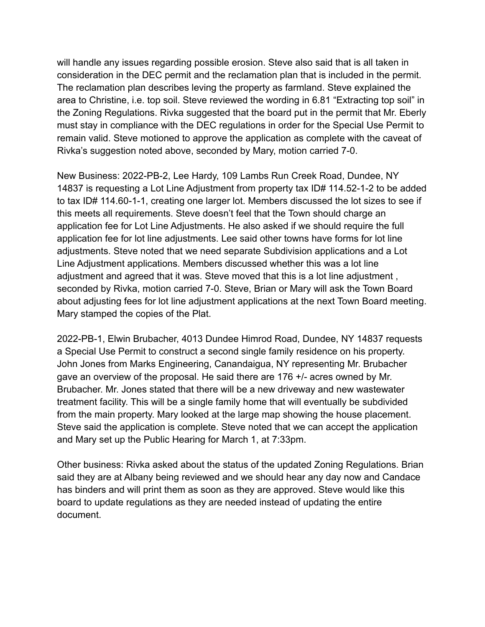will handle any issues regarding possible erosion. Steve also said that is all taken in consideration in the DEC permit and the reclamation plan that is included in the permit. The reclamation plan describes leving the property as farmland. Steve explained the area to Christine, i.e. top soil. Steve reviewed the wording in 6.81 "Extracting top soil" in the Zoning Regulations. Rivka suggested that the board put in the permit that Mr. Eberly must stay in compliance with the DEC regulations in order for the Special Use Permit to remain valid. Steve motioned to approve the application as complete with the caveat of Rivka's suggestion noted above, seconded by Mary, motion carried 7-0.

New Business: 2022-PB-2, Lee Hardy, 109 Lambs Run Creek Road, Dundee, NY 14837 is requesting a Lot Line Adjustment from property tax ID# 114.52-1-2 to be added to tax ID# 114.60-1-1, creating one larger lot. Members discussed the lot sizes to see if this meets all requirements. Steve doesn't feel that the Town should charge an application fee for Lot Line Adjustments. He also asked if we should require the full application fee for lot line adjustments. Lee said other towns have forms for lot line adjustments. Steve noted that we need separate Subdivision applications and a Lot Line Adjustment applications. Members discussed whether this was a lot line adjustment and agreed that it was. Steve moved that this is a lot line adjustment , seconded by Rivka, motion carried 7-0. Steve, Brian or Mary will ask the Town Board about adjusting fees for lot line adjustment applications at the next Town Board meeting. Mary stamped the copies of the Plat.

2022-PB-1, Elwin Brubacher, 4013 Dundee Himrod Road, Dundee, NY 14837 requests a Special Use Permit to construct a second single family residence on his property. John Jones from Marks Engineering, Canandaigua, NY representing Mr. Brubacher gave an overview of the proposal. He said there are 176 +/- acres owned by Mr. Brubacher. Mr. Jones stated that there will be a new driveway and new wastewater treatment facility. This will be a single family home that will eventually be subdivided from the main property. Mary looked at the large map showing the house placement. Steve said the application is complete. Steve noted that we can accept the application and Mary set up the Public Hearing for March 1, at 7:33pm.

Other business: Rivka asked about the status of the updated Zoning Regulations. Brian said they are at Albany being reviewed and we should hear any day now and Candace has binders and will print them as soon as they are approved. Steve would like this board to update regulations as they are needed instead of updating the entire document.